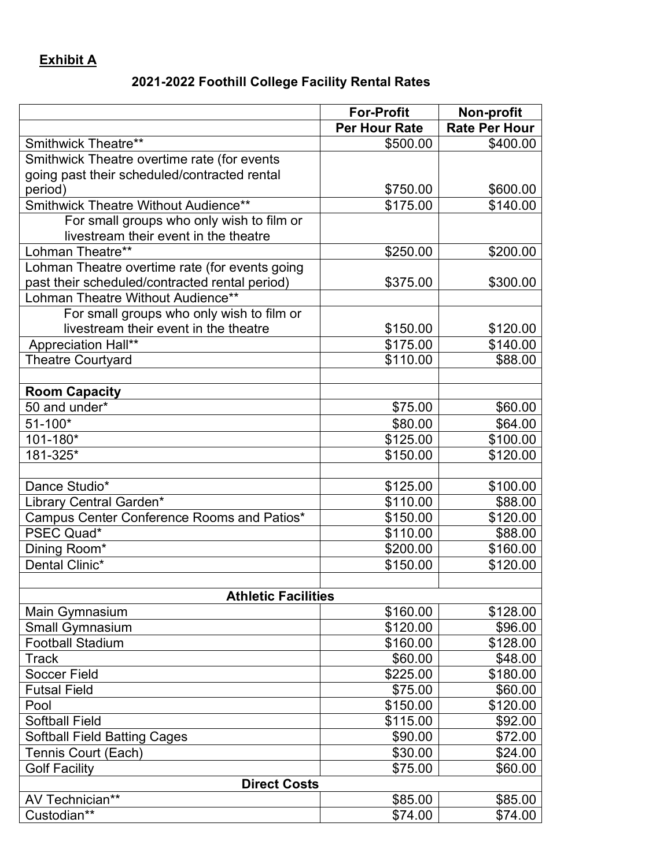## **Exhibit A**

## **2021-2022 Foothill College Facility Rental Rates**

|                                                | <b>For-Profit</b>    | Non-profit           |
|------------------------------------------------|----------------------|----------------------|
|                                                | <b>Per Hour Rate</b> | <b>Rate Per Hour</b> |
| Smithwick Theatre**                            | \$500.00             | \$400.00             |
| Smithwick Theatre overtime rate (for events    |                      |                      |
| going past their scheduled/contracted rental   |                      |                      |
| period)                                        | \$750.00             | \$600.00             |
| Smithwick Theatre Without Audience**           | \$175.00             | \$140.00             |
| For small groups who only wish to film or      |                      |                      |
| livestream their event in the theatre          |                      |                      |
| Lohman Theatre**                               | \$250.00             | \$200.00             |
| Lohman Theatre overtime rate (for events going |                      |                      |
| past their scheduled/contracted rental period) | \$375.00             | \$300.00             |
| Lohman Theatre Without Audience**              |                      |                      |
| For small groups who only wish to film or      |                      |                      |
| livestream their event in the theatre          | \$150.00             | \$120.00             |
| Appreciation Hall**                            | \$175.00             | \$140.00             |
| <b>Theatre Courtyard</b>                       | \$110.00             | \$88.00              |
|                                                |                      |                      |
| <b>Room Capacity</b>                           |                      |                      |
| 50 and under*                                  | \$75.00              | \$60.00              |
| $51 - 100*$                                    | \$80.00              | \$64.00              |
| 101-180*                                       | \$125.00             | \$100.00             |
| 181-325*                                       | \$150.00             | \$120.00             |
|                                                |                      |                      |
| Dance Studio*                                  | \$125.00             | \$100.00             |
| Library Central Garden*                        | \$110.00             | \$88.00              |
| Campus Center Conference Rooms and Patios*     | \$150.00             | \$120.00             |
| PSEC Quad*                                     | \$110.00             | \$88.00              |
| Dining Room*                                   | \$200.00             | \$160.00             |
| Dental Clinic*                                 | \$150.00             | \$120.00             |
|                                                |                      |                      |
| <b>Athletic Facilities</b>                     |                      |                      |
| Main Gymnasium                                 | \$160.00             | \$128.00             |
| <b>Small Gymnasium</b>                         | \$120.00             | \$96.00              |
| <b>Football Stadium</b>                        | \$160.00             | \$128.00             |
| <b>Track</b>                                   | \$60.00              | \$48.00              |
| <b>Soccer Field</b>                            | \$225.00             | \$180.00             |
| <b>Futsal Field</b>                            | \$75.00              | \$60.00              |
| Pool                                           | \$150.00             | \$120.00             |
| <b>Softball Field</b>                          | \$115.00             | \$92.00              |
| <b>Softball Field Batting Cages</b>            | \$90.00              | \$72.00              |
| Tennis Court (Each)                            | \$30.00              | \$24.00              |
| <b>Golf Facility</b>                           | \$75.00              | \$60.00              |
| <b>Direct Costs</b>                            |                      |                      |
| AV Technician**                                | \$85.00              | \$85.00              |
| Custodian**                                    | \$74.00              | \$74.00              |